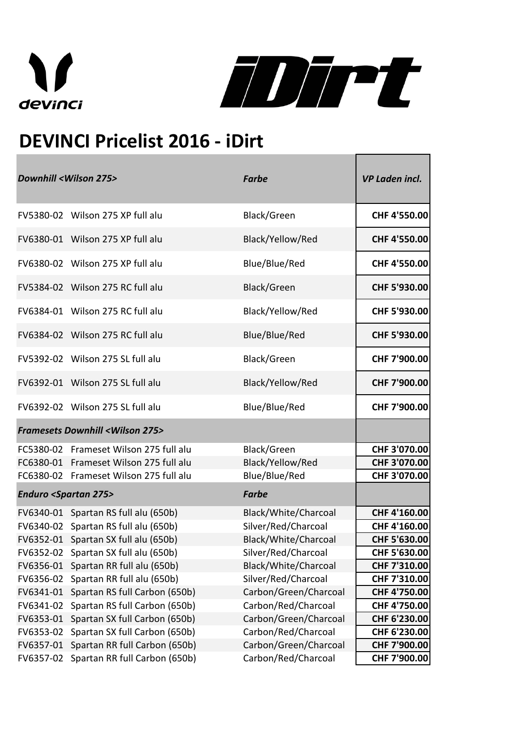



## **DEVINCI Pricelist 2016 - iDirt**

| <b>Downhill <wilson 275=""></wilson></b>                 |                                                    | <b>Farbe</b>          | <b>VP Laden incl.</b> |
|----------------------------------------------------------|----------------------------------------------------|-----------------------|-----------------------|
|                                                          | FV5380-02 Wilson 275 XP full alu                   | Black/Green           | CHF 4'550.00          |
|                                                          | FV6380-01 Wilson 275 XP full alu                   | Black/Yellow/Red      | CHF 4'550.00          |
|                                                          | FV6380-02 Wilson 275 XP full alu                   | Blue/Blue/Red         | CHF 4'550.00          |
|                                                          | FV5384-02 Wilson 275 RC full alu                   | Black/Green           | CHF 5'930.00          |
|                                                          | FV6384-01 Wilson 275 RC full alu                   | Black/Yellow/Red      | CHF 5'930.00          |
|                                                          | FV6384-02 Wilson 275 RC full alu                   | Blue/Blue/Red         | CHF 5'930.00          |
|                                                          | FV5392-02 Wilson 275 SL full alu                   | Black/Green           | CHF 7'900.00          |
|                                                          | FV6392-01 Wilson 275 SL full alu                   | Black/Yellow/Red      | CHF 7'900.00          |
|                                                          | FV6392-02 Wilson 275 SL full alu                   | Blue/Blue/Red         | CHF 7'900.00          |
|                                                          | <b>Framesets Downhill <wilson 275=""></wilson></b> |                       |                       |
|                                                          | FC5380-02 Frameset Wilson 275 full alu             | Black/Green           | CHF 3'070.00          |
|                                                          | FC6380-01 Frameset Wilson 275 full alu             | Black/Yellow/Red      | CHF 3'070.00          |
|                                                          | FC6380-02 Frameset Wilson 275 full alu             | Blue/Blue/Red         | CHF 3'070.00          |
| <b>Enduro <spartan 275=""></spartan></b><br><b>Farbe</b> |                                                    |                       |                       |
|                                                          | FV6340-01 Spartan RS full alu (650b)               | Black/White/Charcoal  | CHF 4'160.00          |
|                                                          | FV6340-02 Spartan RS full alu (650b)               | Silver/Red/Charcoal   | CHF 4'160.00          |
|                                                          | FV6352-01 Spartan SX full alu (650b)               | Black/White/Charcoal  | CHF 5'630.00          |
|                                                          | FV6352-02 Spartan SX full alu (650b)               | Silver/Red/Charcoal   | CHF 5'630.00          |
| FV6356-01                                                | Spartan RR full alu (650b)                         | Black/White/Charcoal  | CHF 7'310.00          |
|                                                          | FV6356-02 Spartan RR full alu (650b)               | Silver/Red/Charcoal   | CHF 7'310.00          |
| FV6341-01                                                | Spartan RS full Carbon (650b)                      | Carbon/Green/Charcoal | CHF 4'750.00          |
| FV6341-02                                                | Spartan RS full Carbon (650b)                      | Carbon/Red/Charcoal   | CHF 4'750.00          |
| FV6353-01                                                | Spartan SX full Carbon (650b)                      | Carbon/Green/Charcoal | CHF 6'230.00          |
| FV6353-02                                                | Spartan SX full Carbon (650b)                      | Carbon/Red/Charcoal   | CHF 6'230.00          |
| FV6357-01                                                | Spartan RR full Carbon (650b)                      | Carbon/Green/Charcoal | CHF 7'900.00          |
| FV6357-02                                                | Spartan RR full Carbon (650b)                      | Carbon/Red/Charcoal   | CHF 7'900.00          |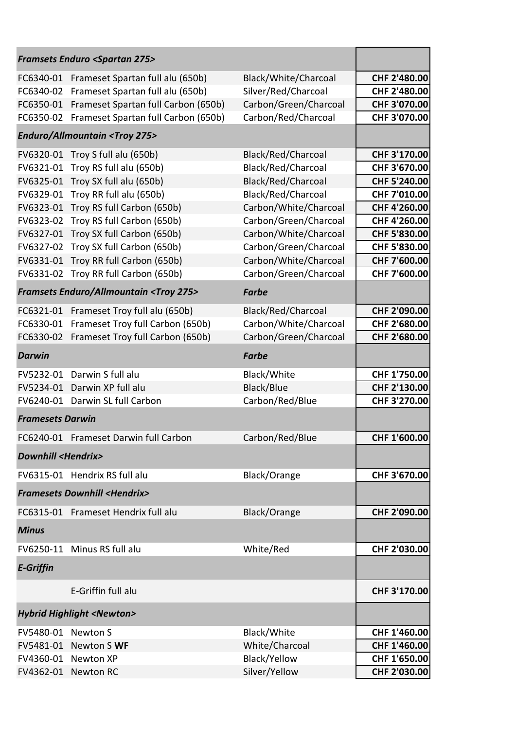|                                                         | <b>Framsets Enduro <spartan 275=""></spartan></b> |                       |                     |
|---------------------------------------------------------|---------------------------------------------------|-----------------------|---------------------|
| FC6340-01                                               | Frameset Spartan full alu (650b)                  | Black/White/Charcoal  | CHF 2'480.00        |
| FC6340-02                                               | Frameset Spartan full alu (650b)                  | Silver/Red/Charcoal   | CHF 2'480.00        |
| FC6350-01                                               | Frameset Spartan full Carbon (650b)               | Carbon/Green/Charcoal | CHF 3'070.00        |
| FC6350-02                                               | Frameset Spartan full Carbon (650b)               | Carbon/Red/Charcoal   | CHF 3'070.00        |
|                                                         | <b>Enduro/Allmountain <troy 275=""></troy></b>    |                       |                     |
|                                                         | FV6320-01 Troy S full alu (650b)                  | Black/Red/Charcoal    | CHF 3'170.00        |
| FV6321-01                                               | Troy RS full alu (650b)                           | Black/Red/Charcoal    | CHF 3'670.00        |
|                                                         | FV6325-01 Troy SX full alu (650b)                 | Black/Red/Charcoal    | CHF 5'240.00        |
| FV6329-01                                               | Troy RR full alu (650b)                           | Black/Red/Charcoal    | CHF 7'010.00        |
| FV6323-01                                               | Troy RS full Carbon (650b)                        | Carbon/White/Charcoal | CHF 4'260.00        |
| FV6323-02                                               | Troy RS full Carbon (650b)                        | Carbon/Green/Charcoal | CHF 4'260.00        |
| FV6327-01                                               | Troy SX full Carbon (650b)                        | Carbon/White/Charcoal | CHF 5'830.00        |
| FV6327-02                                               | Troy SX full Carbon (650b)                        | Carbon/Green/Charcoal | CHF 5'830.00        |
| FV6331-01                                               | Troy RR full Carbon (650b)                        | Carbon/White/Charcoal | CHF 7'600.00        |
| FV6331-02                                               | Troy RR full Carbon (650b)                        | Carbon/Green/Charcoal | CHF 7'600.00        |
| <b>Framsets Enduro/Allmountain <troy 275=""></troy></b> |                                                   |                       |                     |
| FC6321-01                                               | Frameset Troy full alu (650b)                     | Black/Red/Charcoal    | CHF 2'090.00        |
| FC6330-01                                               | Frameset Troy full Carbon (650b)                  | Carbon/White/Charcoal | CHF 2'680.00        |
| FC6330-02                                               | Frameset Troy full Carbon (650b)                  | Carbon/Green/Charcoal | CHF 2'680.00        |
| <b>Darwin</b>                                           |                                                   | <b>Farbe</b>          |                     |
| FV5232-01                                               | Darwin S full alu                                 | Black/White           | CHF 1'750.00        |
| FV5234-01                                               | Darwin XP full alu                                | Black/Blue            | CHF 2'130.00        |
| FV6240-01                                               | Darwin SL full Carbon                             | Carbon/Red/Blue       | CHF 3'270.00        |
| <b>Framesets Darwin</b>                                 |                                                   |                       |                     |
|                                                         | FC6240-01 Frameset Darwin full Carbon             | Carbon/Red/Blue       | <b>CHF 1'600.00</b> |
| <b>Downhill <hendrix></hendrix></b>                     |                                                   |                       |                     |
|                                                         | FV6315-01 Hendrix RS full alu                     | Black/Orange          | CHF 3'670.00        |
|                                                         | <b>Framesets Downhill <hendrix></hendrix></b>     |                       |                     |
|                                                         | FC6315-01 Frameset Hendrix full alu               | Black/Orange          | CHF 2'090.00        |
| <b>Minus</b>                                            |                                                   |                       |                     |
|                                                         | FV6250-11 Minus RS full alu                       | White/Red             | CHF 2'030.00        |
| <b>E-Griffin</b>                                        |                                                   |                       |                     |
|                                                         | E-Griffin full alu                                |                       | CHF 3'170.00        |
| <b>Hybrid Highlight <newton></newton></b>               |                                                   |                       |                     |
| FV5480-01 Newton S                                      |                                                   | Black/White           | CHF 1'460.00        |
| FV5481-01                                               | Newton S WF                                       | White/Charcoal        | CHF 1'460.00        |
|                                                         | FV4360-01 Newton XP                               | Black/Yellow          | CHF 1'650.00        |
|                                                         | FV4362-01 Newton RC                               | Silver/Yellow         | CHF 2'030.00        |
|                                                         |                                                   |                       |                     |